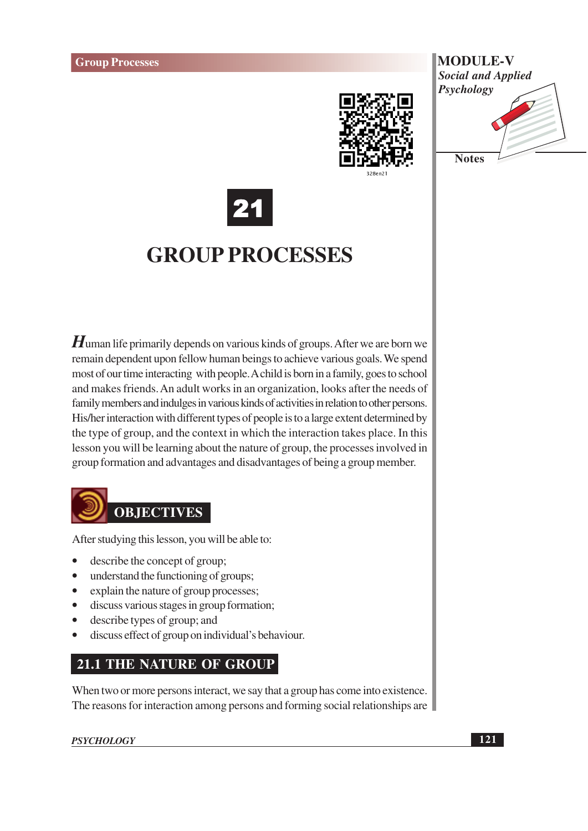





# **GROUP PROCESSES**

 $H$ uman life primarily depends on various kinds of groups. After we are born we remain dependent upon fellow human beings to achieve various goals. We spend most of our time interacting with people. A child is born in a family, goes to school and makes friends. An adult works in an organization, looks after the needs of family members and indulges in various kinds of activities in relation to other persons. His/her interaction with different types of people is to a large extent determined by the type of group, and the context in which the interaction takes place. In this lesson you will be learning about the nature of group, the processes involved in group formation and advantages and disadvantages of being a group member.



After studying this lesson, you will be able to:

- describe the concept of group;  $\bullet$
- $\bullet$ understand the functioning of groups;
- explain the nature of group processes;  $\bullet$
- discuss various stages in group formation;  $\bullet$
- describe types of group; and
- discuss effect of group on individual's behaviour.

# **21.1 THE NATURE OF GROUP**

When two or more persons interact, we say that a group has come into existence. The reasons for interaction among persons and forming social relationships are

**PSYCHOLOGY**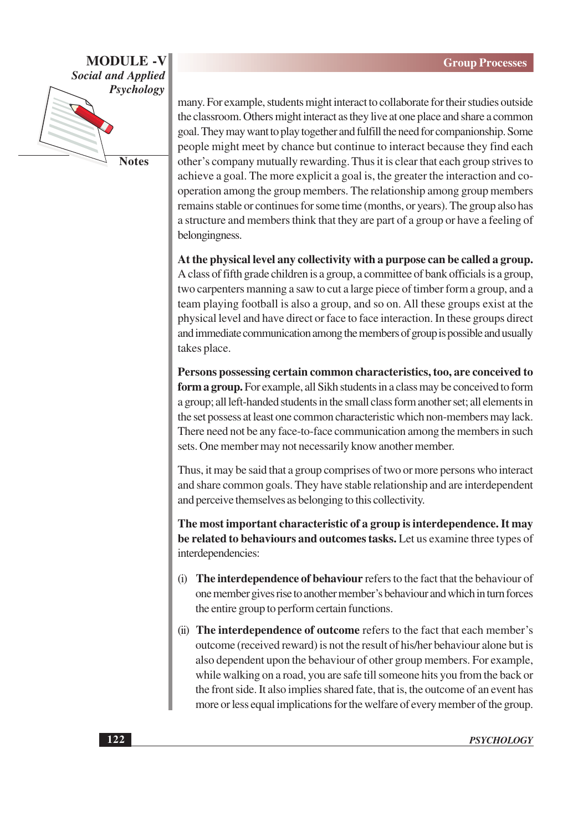

**Notes** 

many. For example, students might interact to collaborate for their studies outside the classroom. Others might interact as they live at one place and share a common goal. They may want to play together and fulfill the need for companionship. Some people might meet by chance but continue to interact because they find each other's company mutually rewarding. Thus it is clear that each group strives to achieve a goal. The more explicit a goal is, the greater the interaction and cooperation among the group members. The relationship among group members remains stable or continues for some time (months, or years). The group also has a structure and members think that they are part of a group or have a feeling of belongingness.

At the physical level any collectivity with a purpose can be called a group. A class of fifth grade children is a group, a committee of bank officials is a group, two carpenters manning a saw to cut a large piece of timber form a group, and a team playing football is also a group, and so on. All these groups exist at the physical level and have direct or face to face interaction. In these groups direct and immediate communication among the members of group is possible and usually takes place.

Persons possessing certain common characteristics, too, are conceived to form a group. For example, all Sikh students in a class may be conceived to form a group; all left-handed students in the small class form another set; all elements in the set possess at least one common characteristic which non-members may lack. There need not be any face-to-face communication among the members in such sets. One member may not necessarily know another member.

Thus, it may be said that a group comprises of two or more persons who interact and share common goals. They have stable relationship and are interdependent and perceive themselves as belonging to this collectivity.

The most important characteristic of a group is interdependence. It may be related to behaviours and outcomes tasks. Let us examine three types of interdependencies:

- (i) The interdependence of behaviour refers to the fact that the behaviour of one member gives rise to another member's behaviour and which in turn forces the entire group to perform certain functions.
- (ii) The interdependence of outcome refers to the fact that each member's outcome (received reward) is not the result of his/her behaviour alone but is also dependent upon the behaviour of other group members. For example, while walking on a road, you are safe till someone hits you from the back or the front side. It also implies shared fate, that is, the outcome of an event has more or less equal implications for the welfare of every member of the group.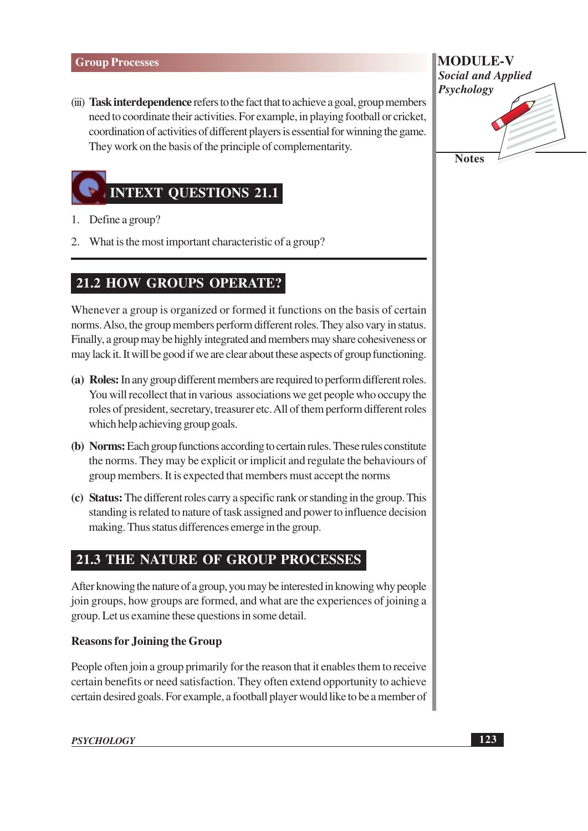(iii) Task interdependence refers to the fact that to achieve a goal, group members need to coordinate their activities. For example, in playing football or cricket, coordination of activities of different players is essential for winning the game. They work on the basis of the principle of complementarity.



- 1. Define a group?
- 2. What is the most important characteristic of a group?

# **21.2 HOW GROUPS OPERATE?**

Whenever a group is organized or formed it functions on the basis of certain norms. Also, the group members perform different roles. They also vary in status. Finally, a group may be highly integrated and members may share cohesiveness or may lack it. It will be good if we are clear about these aspects of group functioning.

- (a) Roles: In any group different members are required to perform different roles. You will recollect that in various associations we get people who occupy the roles of president, secretary, treasurer etc. All of them perform different roles which help achieving group goals.
- (b) Norms: Each group functions according to certain rules. These rules constitute the norms. They may be explicit or implicit and regulate the behaviours of group members. It is expected that members must accept the norms
- (c) Status: The different roles carry a specific rank or standing in the group. This standing is related to nature of task assigned and power to influence decision making. Thus status differences emerge in the group.

# **21.3 THE NATURE OF GROUP PROCESSES**

After knowing the nature of a group, you may be interested in knowing why people join groups, how groups are formed, and what are the experiences of joining a group. Let us examine these questions in some detail.

## **Reasons for Joining the Group**

People often join a group primarily for the reason that it enables them to receive certain benefits or need satisfaction. They often extend opportunity to achieve certain desired goals. For example, a football player would like to be a member of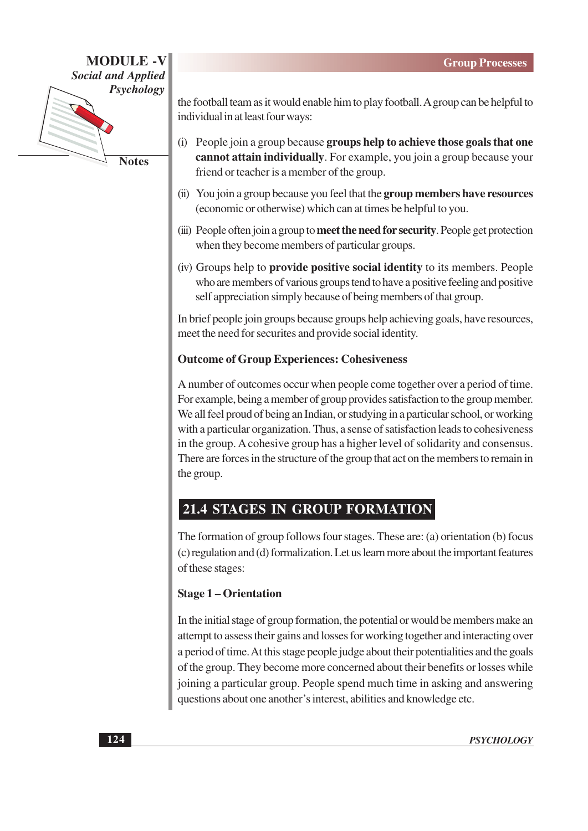

**Notes** 

the football team as it would enable him to play football. A group can be helpful to individual in at least four ways:

- (i) People join a group because groups help to achieve those goals that one cannot attain individually. For example, you join a group because your friend or teacher is a member of the group.
- (ii) You join a group because you feel that the group members have resources (economic or otherwise) which can at times be helpful to you.
- (iii) People often join a group to meet the need for security. People get protection when they become members of particular groups.
- (iv) Groups help to **provide positive social identity** to its members. People who are members of various groups tend to have a positive feeling and positive self appreciation simply because of being members of that group.

In brief people join groups because groups help achieving goals, have resources, meet the need for securites and provide social identity.

# **Outcome of Group Experiences: Cohesiveness**

A number of outcomes occur when people come together over a period of time. For example, being a member of group provides satisfaction to the group member. We all feel proud of being an Indian, or studying in a particular school, or working with a particular organization. Thus, a sense of satisfaction leads to cohesiveness in the group. A cohesive group has a higher level of solidarity and consensus. There are forces in the structure of the group that act on the members to remain in the group.

# 21.4 STAGES IN GROUP FORMATION

The formation of group follows four stages. These are: (a) orientation (b) focus (c) regulation and (d) formalization. Let us learn more about the important features of these stages:

## **Stage 1 – Orientation**

In the initial stage of group formation, the potential or would be members make an attempt to assess their gains and losses for working together and interacting over a period of time. At this stage people judge about their potentialities and the goals of the group. They become more concerned about their benefits or losses while joining a particular group. People spend much time in asking and answering questions about one another's interest, abilities and knowledge etc.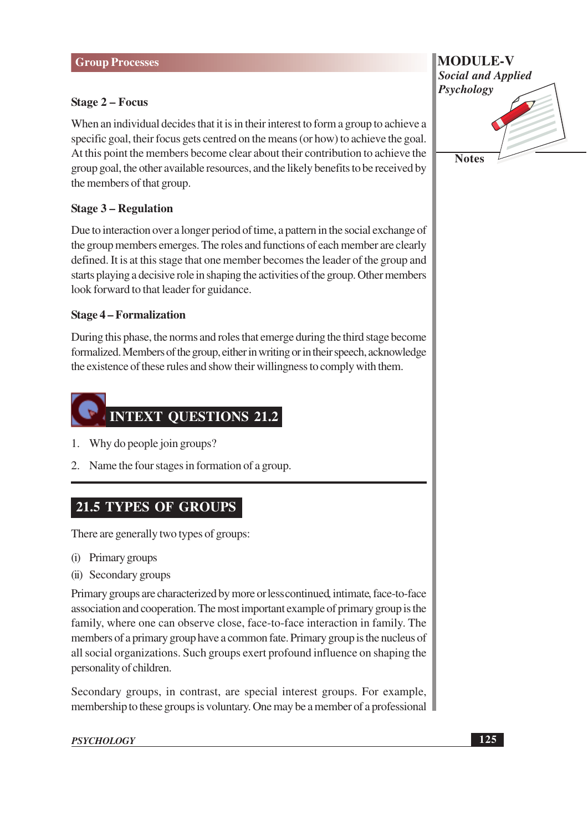### **Stage 2 – Focus**

When an individual decides that it is in their interest to form a group to achieve a specific goal, their focus gets centred on the means (or how) to achieve the goal. At this point the members become clear about their contribution to achieve the group goal, the other available resources, and the likely benefits to be received by the members of that group.

### **Stage 3 – Regulation**

Due to interaction over a longer period of time, a pattern in the social exchange of the group members emerges. The roles and functions of each member are clearly defined. It is at this stage that one member becomes the leader of the group and starts playing a decisive role in shaping the activities of the group. Other members look forward to that leader for guidance.

### **Stage 4 – Formalization**

During this phase, the norms and roles that emerge during the third stage become formalized. Members of the group, either in writing or in their speech, acknowledge the existence of these rules and show their willingness to comply with them.

# **INTEXT QUESTIONS 21.2**

- 1. Why do people join groups?
- 2. Name the four stages in formation of a group.

# **21.5 TYPES OF GROUPS**

There are generally two types of groups:

- (i) Primary groups
- (ii) Secondary groups

Primary groups are characterized by more or less continued, intimate, face-to-face association and cooperation. The most important example of primary group is the family, where one can observe close, face-to-face interaction in family. The members of a primary group have a common fate. Primary group is the nucleus of all social organizations. Such groups exert profound influence on shaping the personality of children.

Secondary groups, in contrast, are special interest groups. For example, membership to these groups is voluntary. One may be a member of a professional

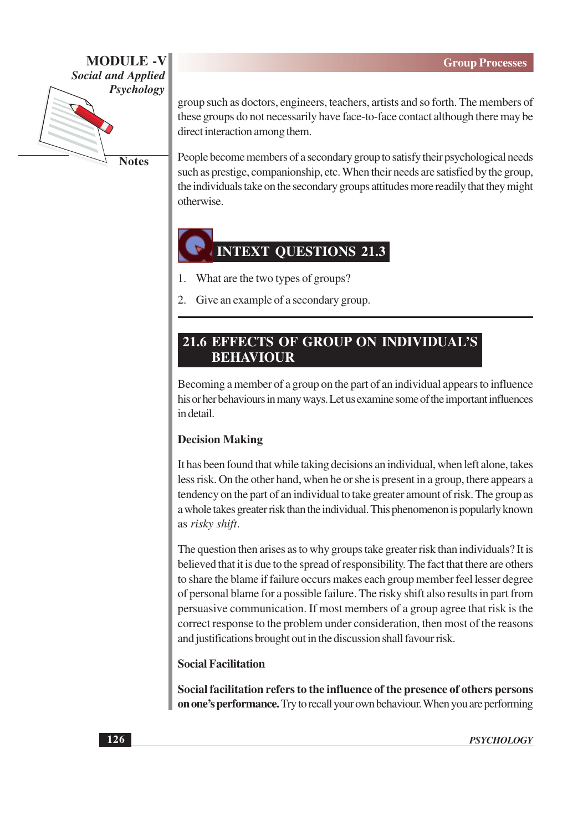

**Notes** 

group such as doctors, engineers, teachers, artists and so forth. The members of these groups do not necessarily have face-to-face contact although there may be direct interaction among them.

People become members of a secondary group to satisfy their psychological needs such as prestige, companionship, etc. When their needs are satisfied by the group, the individuals take on the secondary groups attitudes more readily that they might otherwise.

# **INTEXT QUESTIONS 21.3**

- What are the two types of groups?  $\mathbf{1}$ .
- 2. Give an example of a secondary group.

# **21.6 EFFECTS OF GROUP ON INDIVIDUAL'S BEHAVIOUR**

Becoming a member of a group on the part of an individual appears to influence his or her behaviours in many ways. Let us examine some of the important influences in detail.

### **Decision Making**

It has been found that while taking decisions an individual, when left alone, takes less risk. On the other hand, when he or she is present in a group, there appears a tendency on the part of an individual to take greater amount of risk. The group as a whole takes greater risk than the individual. This phenomenon is popularly known as risky shift.

The question then arises as to why groups take greater risk than individuals? It is believed that it is due to the spread of responsibility. The fact that there are others to share the blame if failure occurs makes each group member feel lesser degree of personal blame for a possible failure. The risky shift also results in part from persuasive communication. If most members of a group agree that risk is the correct response to the problem under consideration, then most of the reasons and justifications brought out in the discussion shall favour risk.

### **Social Facilitation**

Social facilitation refers to the influence of the presence of others persons on one's performance. Try to recall your own behaviour. When you are performing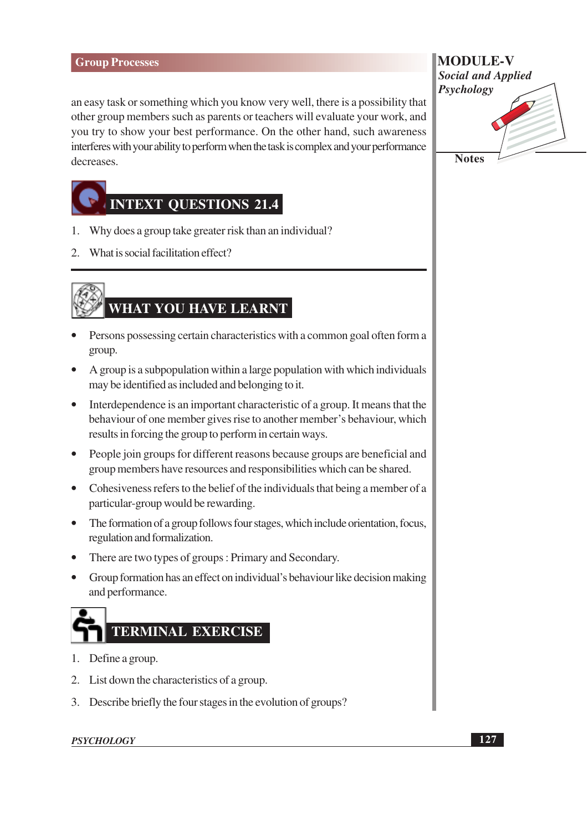an easy task or something which you know very well, there is a possibility that other group members such as parents or teachers will evaluate your work, and you try to show your best performance. On the other hand, such awareness interferes with your ability to perform when the task is complex and your performance decreases.



- 1. Why does a group take greater risk than an individual?
- 2. What is social facilitation effect?

# WHAT YOU HAVE LEARNT

- Persons possessing certain characteristics with a common goal often form a group.
- A group is a subpopulation within a large population with which individuals may be identified as included and belonging to it.
- Interdependence is an important characteristic of a group. It means that the behaviour of one member gives rise to another member's behaviour, which results in forcing the group to perform in certain ways.
- People join groups for different reasons because groups are beneficial and group members have resources and responsibilities which can be shared.
- Cohesiveness refers to the belief of the individuals that being a member of a particular-group would be rewarding.
- The formation of a group follows four stages, which include orientation, focus, regulation and formalization.
- There are two types of groups: Primary and Secondary.
- Group formation has an effect on individual's behaviour like decision making and performance.



- 1. Define a group.
- 2. List down the characteristics of a group.
- 3. Describe briefly the four stages in the evolution of groups?

## **PSYCHOLOGY**